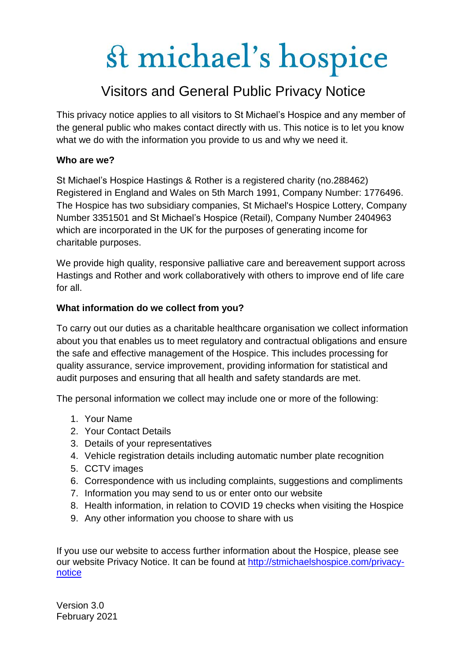### Visitors and General Public Privacy Notice

This privacy notice applies to all visitors to St Michael's Hospice and any member of the general public who makes contact directly with us. This notice is to let you know what we do with the information you provide to us and why we need it.

### **Who are we?**

St Michael's Hospice Hastings & Rother is a registered charity (no.288462) Registered in England and Wales on 5th March 1991, Company Number: 1776496. The Hospice has two subsidiary companies, St Michael's Hospice Lottery, Company Number 3351501 and St Michael's Hospice (Retail), Company Number 2404963 which are incorporated in the UK for the purposes of generating income for charitable purposes.

We provide high quality, responsive palliative care and bereavement support across Hastings and Rother and work collaboratively with others to improve end of life care for all.

### **What information do we collect from you?**

To carry out our duties as a charitable healthcare organisation we collect information about you that enables us to meet regulatory and contractual obligations and ensure the safe and effective management of the Hospice. This includes processing for quality assurance, service improvement, providing information for statistical and audit purposes and ensuring that all health and safety standards are met.

The personal information we collect may include one or more of the following:

- 1. Your Name
- 2. Your Contact Details
- 3. Details of your representatives
- 4. Vehicle registration details including automatic number plate recognition
- 5. CCTV images
- 6. Correspondence with us including complaints, suggestions and compliments
- 7. Information you may send to us or enter onto our website
- 8. Health information, in relation to COVID 19 checks when visiting the Hospice
- 9. Any other information you choose to share with us

If you use our website to access further information about the Hospice, please see our website Privacy Notice. It can be found at [http://stmichaelshospice.com/privacy](http://stmichaelshospice.com/privacy-notice)[notice](http://stmichaelshospice.com/privacy-notice)

Version 3.0 February 2021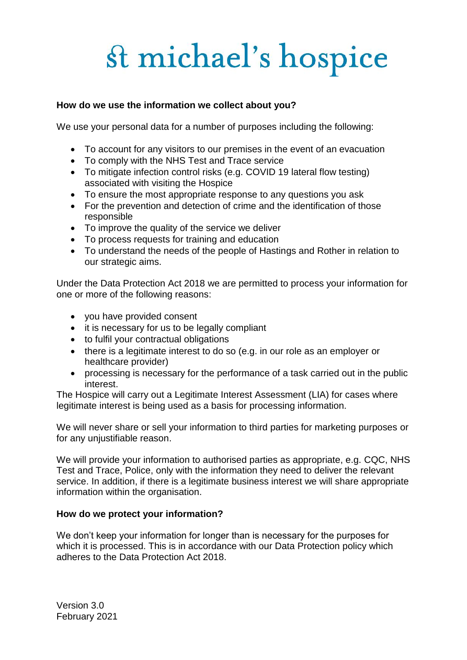#### **How do we use the information we collect about you?**

We use your personal data for a number of purposes including the following:

- To account for any visitors to our premises in the event of an evacuation
- To comply with the NHS Test and Trace service
- To mitigate infection control risks (e.g. COVID 19 lateral flow testing) associated with visiting the Hospice
- To ensure the most appropriate response to any questions you ask
- For the prevention and detection of crime and the identification of those responsible
- To improve the quality of the service we deliver
- To process requests for training and education
- To understand the needs of the people of Hastings and Rother in relation to our strategic aims.

Under the Data Protection Act 2018 we are permitted to process your information for one or more of the following reasons:

- you have provided consent
- it is necessary for us to be legally compliant
- to fulfil your contractual obligations
- there is a legitimate interest to do so (e.g. in our role as an employer or healthcare provider)
- processing is necessary for the performance of a task carried out in the public interest.

The Hospice will carry out a Legitimate Interest Assessment (LIA) for cases where legitimate interest is being used as a basis for processing information.

We will never share or sell your information to third parties for marketing purposes or for any unjustifiable reason.

We will provide your information to authorised parties as appropriate, e.g. CQC, NHS Test and Trace, Police, only with the information they need to deliver the relevant service. In addition, if there is a legitimate business interest we will share appropriate information within the organisation.

#### **How do we protect your information?**

We don't keep your information for longer than is necessary for the purposes for which it is processed. This is in accordance with our Data Protection policy which adheres to the Data Protection Act 2018.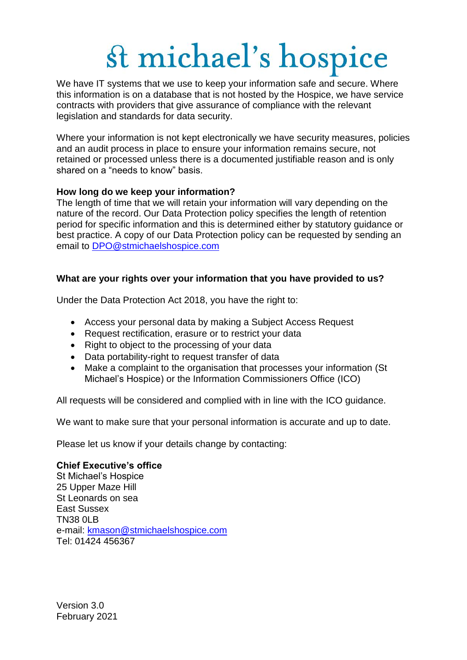We have IT systems that we use to keep your information safe and secure. Where this information is on a database that is not hosted by the Hospice, we have service contracts with providers that give assurance of compliance with the relevant legislation and standards for data security.

Where your information is not kept electronically we have security measures, policies and an audit process in place to ensure your information remains secure, not retained or processed unless there is a documented justifiable reason and is only shared on a "needs to know" basis.

### **How long do we keep your information?**

The length of time that we will retain your information will vary depending on the nature of the record. Our Data Protection policy specifies the length of retention period for specific information and this is determined either by statutory guidance or best practice. A copy of our Data Protection policy can be requested by sending an email to [DPO@stmichaelshospice.com](mailto:DPO@stmichaelshospice.com)

### **What are your rights over your information that you have provided to us?**

Under the Data Protection Act 2018, you have the right to:

- Access your personal data by making a Subject Access Request
- Request rectification, erasure or to restrict your data
- Right to object to the processing of your data
- Data portability-right to request transfer of data
- Make a complaint to the organisation that processes your information (St Michael's Hospice) or the Information Commissioners Office (ICO)

All requests will be considered and complied with in line with the ICO guidance.

We want to make sure that your personal information is accurate and up to date.

Please let us know if your details change by contacting:

#### **Chief Executive's office**

St Michael's Hospice 25 Upper Maze Hill St Leonards on sea East Sussex TN38 0LB e-mail: [kmason@stmichaelshospice.com](mailto:kmason@stmichaelshospice.com) Tel: 01424 456367

Version 3.0 February 2021